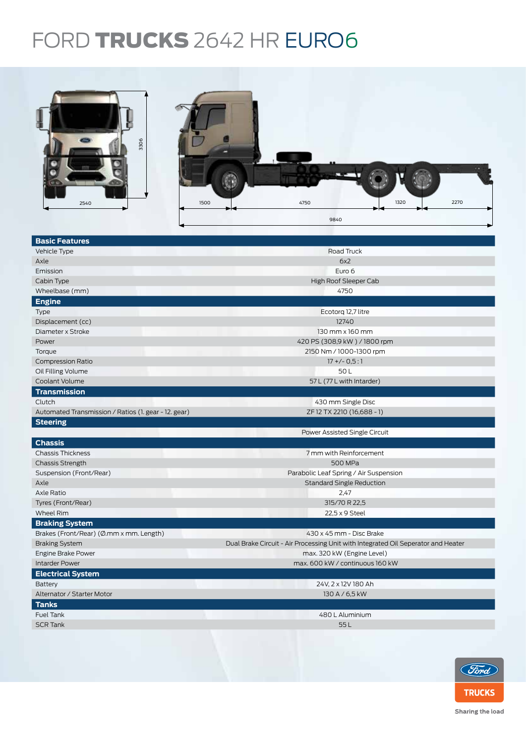## FORD **TRUCKS** 2642 HR EURO6



| <b>Basic Features</b>                                |                                                                                   |  |  |  |
|------------------------------------------------------|-----------------------------------------------------------------------------------|--|--|--|
| Vehicle Type                                         | Road Truck                                                                        |  |  |  |
| Axle                                                 | 6x2                                                                               |  |  |  |
| Emission                                             | Euro 6                                                                            |  |  |  |
| Cabin Type                                           | High Roof Sleeper Cab                                                             |  |  |  |
| Wheelbase (mm)                                       | 4750                                                                              |  |  |  |
| <b>Engine</b>                                        |                                                                                   |  |  |  |
| <b>Type</b>                                          | Ecotorg 12,7 litre                                                                |  |  |  |
| Displacement (cc)                                    | 12740                                                                             |  |  |  |
| Diameter x Stroke                                    | 130 mm x 160 mm                                                                   |  |  |  |
| Power                                                | 420 PS (308,9 kW) / 1800 rpm                                                      |  |  |  |
| Torque                                               | 2150 Nm / 1000-1300 rpm                                                           |  |  |  |
| <b>Compression Ratio</b>                             | $17 + (-0.5:1)$                                                                   |  |  |  |
| Oil Filling Volume                                   | 50L                                                                               |  |  |  |
| Coolant Volume                                       | 57 L (77 L with Intarder)                                                         |  |  |  |
| <b>Transmission</b>                                  |                                                                                   |  |  |  |
| Clutch                                               | 430 mm Single Disc                                                                |  |  |  |
| Automated Transmission / Ratios (1. gear - 12. gear) | ZF 12 TX 2210 (16,688 - 1)                                                        |  |  |  |
| <b>Steering</b>                                      |                                                                                   |  |  |  |
|                                                      | Power Assisted Single Circuit                                                     |  |  |  |
| <b>Chassis</b>                                       |                                                                                   |  |  |  |
| <b>Chassis Thickness</b>                             | 7 mm with Reinforcement                                                           |  |  |  |
| <b>Chassis Strength</b>                              | 500 MPa                                                                           |  |  |  |
| Suspension (Front/Rear)                              | Parabolic Leaf Spring / Air Suspension                                            |  |  |  |
| Axle                                                 | <b>Standard Single Reduction</b>                                                  |  |  |  |
| Axle Ratio                                           | 2,47                                                                              |  |  |  |
| Tyres (Front/Rear)                                   | 315/70 R 22,5                                                                     |  |  |  |
| Wheel Rim                                            | 22,5 x 9 Steel                                                                    |  |  |  |
| <b>Braking System</b>                                |                                                                                   |  |  |  |
| Brakes (Front/Rear) (Ø.mm x mm. Length)              | 430 x 45 mm - Disc Brake                                                          |  |  |  |
| <b>Braking System</b>                                | Dual Brake Circuit - Air Processing Unit with Integrated Oil Seperator and Heater |  |  |  |
| Engine Brake Power                                   | max. 320 kW (Engine Level)                                                        |  |  |  |
| <b>Intarder Power</b>                                | max. 600 kW / continuous 160 kW                                                   |  |  |  |
| <b>Electrical System</b>                             |                                                                                   |  |  |  |
| Battery                                              | 24V, 2 x 12V 180 Ah                                                               |  |  |  |
| Alternator / Starter Motor                           | 130 A / 6,5 kW                                                                    |  |  |  |
| <b>Tanks</b>                                         |                                                                                   |  |  |  |
| Fuel Tank                                            | 480 L Aluminium                                                                   |  |  |  |
| <b>SCR Tank</b>                                      | 55L                                                                               |  |  |  |
|                                                      |                                                                                   |  |  |  |
|                                                      |                                                                                   |  |  |  |



Sharing the load